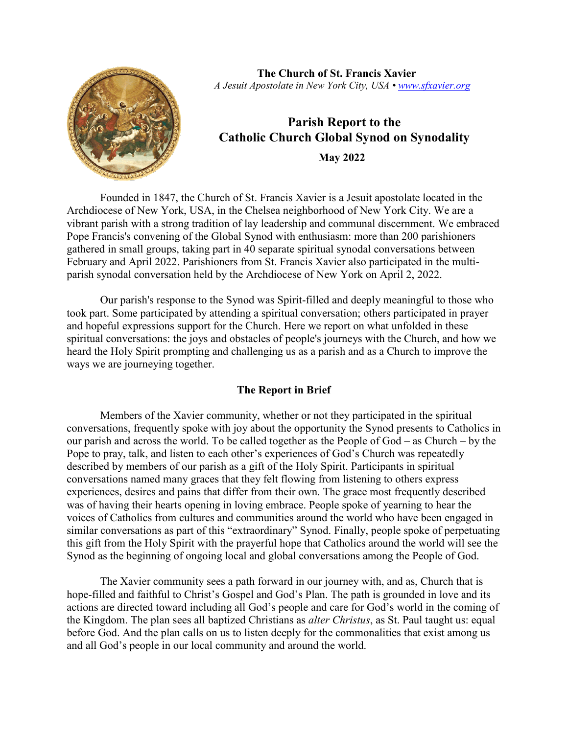

**The Church of St. Francis Xavier**  *A Jesuit Apostolate in New York City, USA • [www.sfxavier.org](http://www.sfxavier.org/)*

# **Parish Report to the Catholic Church Global Synod on Synodality May 2022**

Founded in 1847, the Church of St. Francis Xavier is a Jesuit apostolate located in the Archdiocese of New York, USA, in the Chelsea neighborhood of New York City. We are a vibrant parish with a strong tradition of lay leadership and communal discernment. We embraced Pope Francis's convening of the Global Synod with enthusiasm: more than 200 parishioners gathered in small groups, taking part in 40 separate spiritual synodal conversations between February and April 2022. Parishioners from St. Francis Xavier also participated in the multiparish synodal conversation held by the Archdiocese of New York on April 2, 2022.

Our parish's response to the Synod was Spirit-filled and deeply meaningful to those who took part. Some participated by attending a spiritual conversation; others participated in prayer and hopeful expressions support for the Church. Here we report on what unfolded in these spiritual conversations: the joys and obstacles of people's journeys with the Church, and how we heard the Holy Spirit prompting and challenging us as a parish and as a Church to improve the ways we are journeying together.

# **The Report in Brief**

Members of the Xavier community, whether or not they participated in the spiritual conversations, frequently spoke with joy about the opportunity the Synod presents to Catholics in our parish and across the world. To be called together as the People of God – as Church – by the Pope to pray, talk, and listen to each other's experiences of God's Church was repeatedly described by members of our parish as a gift of the Holy Spirit. Participants in spiritual conversations named many graces that they felt flowing from listening to others express experiences, desires and pains that differ from their own. The grace most frequently described was of having their hearts opening in loving embrace. People spoke of yearning to hear the voices of Catholics from cultures and communities around the world who have been engaged in similar conversations as part of this "extraordinary" Synod. Finally, people spoke of perpetuating this gift from the Holy Spirit with the prayerful hope that Catholics around the world will see the Synod as the beginning of ongoing local and global conversations among the People of God.

The Xavier community sees a path forward in our journey with, and as, Church that is hope-filled and faithful to Christ's Gospel and God's Plan. The path is grounded in love and its actions are directed toward including all God's people and care for God's world in the coming of the Kingdom. The plan sees all baptized Christians as *alter Christus*, as St. Paul taught us: equal before God. And the plan calls on us to listen deeply for the commonalities that exist among us and all God's people in our local community and around the world.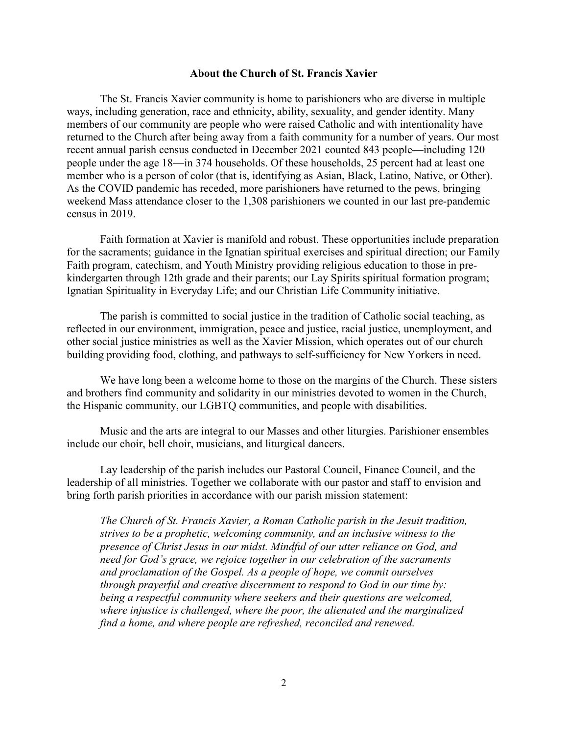### **About the Church of St. Francis Xavier**

The St. Francis Xavier community is home to parishioners who are diverse in multiple ways, including generation, race and ethnicity, ability, sexuality, and gender identity. Many members of our community are people who were raised Catholic and with intentionality have returned to the Church after being away from a faith community for a number of years. Our most recent annual parish census conducted in December 2021 counted 843 people—including 120 people under the age 18—in 374 households. Of these households, 25 percent had at least one member who is a person of color (that is, identifying as Asian, Black, Latino, Native, or Other). As the COVID pandemic has receded, more parishioners have returned to the pews, bringing weekend Mass attendance closer to the 1,308 parishioners we counted in our last pre-pandemic census in 2019.

Faith formation at Xavier is manifold and robust. These opportunities include preparation for the sacraments; guidance in the Ignatian spiritual exercises and spiritual direction; our Family Faith program, catechism, and Youth Ministry providing religious education to those in prekindergarten through 12th grade and their parents; our Lay Spirits spiritual formation program; Ignatian Spirituality in Everyday Life; and our Christian Life Community initiative.

The parish is committed to social justice in the tradition of Catholic social teaching, as reflected in our environment, immigration, peace and justice, racial justice, unemployment, and other social justice ministries as well as the Xavier Mission, which operates out of our church building providing food, clothing, and pathways to self-sufficiency for New Yorkers in need.

We have long been a welcome home to those on the margins of the Church. These sisters and brothers find community and solidarity in our ministries devoted to women in the Church, the Hispanic community, our LGBTQ communities, and people with disabilities.

Music and the arts are integral to our Masses and other liturgies. Parishioner ensembles include our choir, bell choir, musicians, and liturgical dancers.

Lay leadership of the parish includes our Pastoral Council, Finance Council, and the leadership of all ministries. Together we collaborate with our pastor and staff to envision and bring forth parish priorities in accordance with our parish mission statement:

*The Church of St. Francis Xavier, a Roman Catholic parish in the Jesuit tradition, strives to be a prophetic, welcoming community, and an inclusive witness to the presence of Christ Jesus in our midst. Mindful of our utter reliance on God, and need for God's grace, we rejoice together in our celebration of the sacraments and proclamation of the Gospel. As a people of hope, we commit ourselves through prayerful and creative discernment to respond to God in our time by: being a respectful community where seekers and their questions are welcomed, where injustice is challenged, where the poor, the alienated and the marginalized find a home, and where people are refreshed, reconciled and renewed.*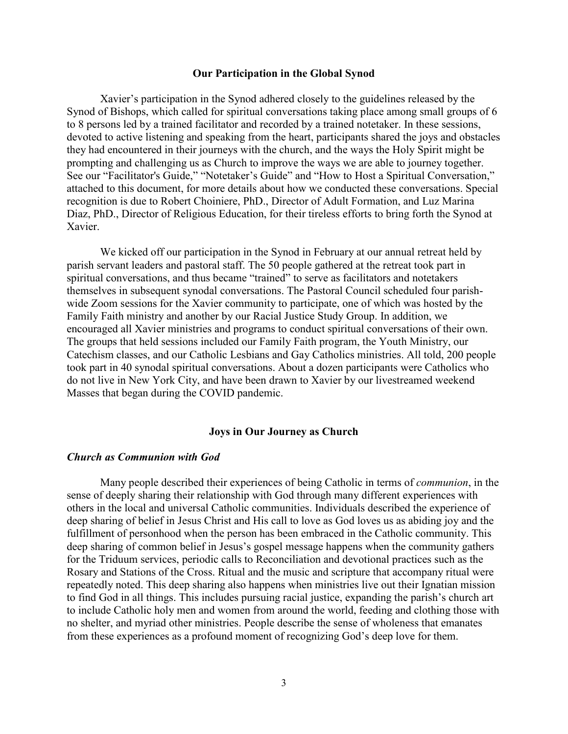#### **Our Participation in the Global Synod**

Xavier's participation in the Synod adhered closely to the guidelines released by the Synod of Bishops, which called for spiritual conversations taking place among small groups of 6 to 8 persons led by a trained facilitator and recorded by a trained notetaker. In these sessions, devoted to active listening and speaking from the heart, participants shared the joys and obstacles they had encountered in their journeys with the church, and the ways the Holy Spirit might be prompting and challenging us as Church to improve the ways we are able to journey together. See our "Facilitator's Guide," "Notetaker's Guide" and "How to Host a Spiritual Conversation," attached to this document, for more details about how we conducted these conversations. Special recognition is due to Robert Choiniere, PhD., Director of Adult Formation, and Luz Marina Diaz, PhD., Director of Religious Education, for their tireless efforts to bring forth the Synod at Xavier.

We kicked off our participation in the Synod in February at our annual retreat held by parish servant leaders and pastoral staff. The 50 people gathered at the retreat took part in spiritual conversations, and thus became "trained" to serve as facilitators and notetakers themselves in subsequent synodal conversations. The Pastoral Council scheduled four parishwide Zoom sessions for the Xavier community to participate, one of which was hosted by the Family Faith ministry and another by our Racial Justice Study Group. In addition, we encouraged all Xavier ministries and programs to conduct spiritual conversations of their own. The groups that held sessions included our Family Faith program, the Youth Ministry, our Catechism classes, and our Catholic Lesbians and Gay Catholics ministries. All told, 200 people took part in 40 synodal spiritual conversations. About a dozen participants were Catholics who do not live in New York City, and have been drawn to Xavier by our livestreamed weekend Masses that began during the COVID pandemic.

#### **Joys in Our Journey as Church**

#### *Church as Communion with God*

Many people described their experiences of being Catholic in terms of *communion*, in the sense of deeply sharing their relationship with God through many different experiences with others in the local and universal Catholic communities. Individuals described the experience of deep sharing of belief in Jesus Christ and His call to love as God loves us as abiding joy and the fulfillment of personhood when the person has been embraced in the Catholic community. This deep sharing of common belief in Jesus's gospel message happens when the community gathers for the Triduum services, periodic calls to Reconciliation and devotional practices such as the Rosary and Stations of the Cross. Ritual and the music and scripture that accompany ritual were repeatedly noted. This deep sharing also happens when ministries live out their Ignatian mission to find God in all things. This includes pursuing racial justice, expanding the parish's church art to include Catholic holy men and women from around the world, feeding and clothing those with no shelter, and myriad other ministries. People describe the sense of wholeness that emanates from these experiences as a profound moment of recognizing God's deep love for them.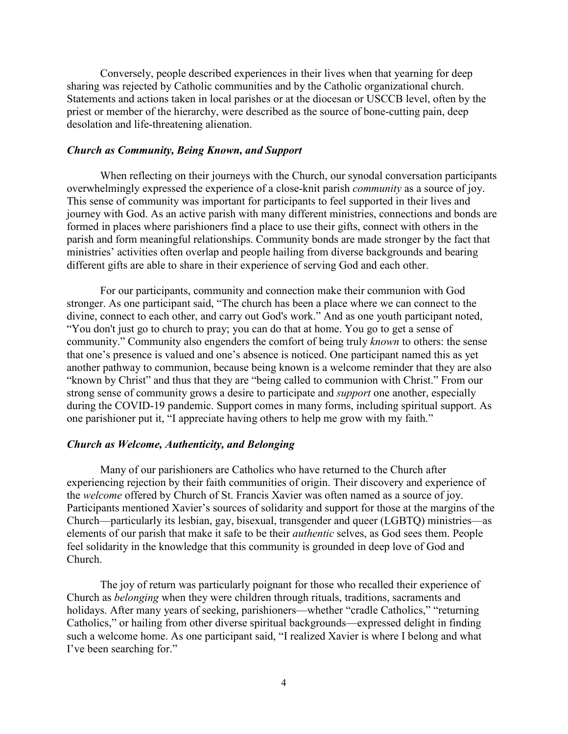Conversely, people described experiences in their lives when that yearning for deep sharing was rejected by Catholic communities and by the Catholic organizational church. Statements and actions taken in local parishes or at the diocesan or USCCB level, often by the priest or member of the hierarchy, were described as the source of bone-cutting pain, deep desolation and life-threatening alienation.

### *Church as Community, Being Known, and Support*

When reflecting on their journeys with the Church, our synodal conversation participants overwhelmingly expressed the experience of a close-knit parish *community* as a source of joy. This sense of community was important for participants to feel supported in their lives and journey with God. As an active parish with many different ministries, connections and bonds are formed in places where parishioners find a place to use their gifts, connect with others in the parish and form meaningful relationships. Community bonds are made stronger by the fact that ministries' activities often overlap and people hailing from diverse backgrounds and bearing different gifts are able to share in their experience of serving God and each other.

For our participants, community and connection make their communion with God stronger. As one participant said, "The church has been a place where we can connect to the divine, connect to each other, and carry out God's work." And as one youth participant noted, "You don't just go to church to pray; you can do that at home. You go to get a sense of community." Community also engenders the comfort of being truly *known* to others: the sense that one's presence is valued and one's absence is noticed. One participant named this as yet another pathway to communion, because being known is a welcome reminder that they are also "known by Christ" and thus that they are "being called to communion with Christ." From our strong sense of community grows a desire to participate and *support* one another, especially during the COVID-19 pandemic. Support comes in many forms, including spiritual support. As one parishioner put it, "I appreciate having others to help me grow with my faith."

#### *Church as Welcome, Authenticity, and Belonging*

Many of our parishioners are Catholics who have returned to the Church after experiencing rejection by their faith communities of origin. Their discovery and experience of the *welcome* offered by Church of St. Francis Xavier was often named as a source of joy. Participants mentioned Xavier's sources of solidarity and support for those at the margins of the Church—particularly its lesbian, gay, bisexual, transgender and queer (LGBTQ) ministries—as elements of our parish that make it safe to be their *authentic* selves, as God sees them. People feel solidarity in the knowledge that this community is grounded in deep love of God and Church.

The joy of return was particularly poignant for those who recalled their experience of Church as *belonging* when they were children through rituals, traditions, sacraments and holidays. After many years of seeking, parishioners—whether "cradle Catholics," "returning Catholics," or hailing from other diverse spiritual backgrounds—expressed delight in finding such a welcome home. As one participant said, "I realized Xavier is where I belong and what I've been searching for."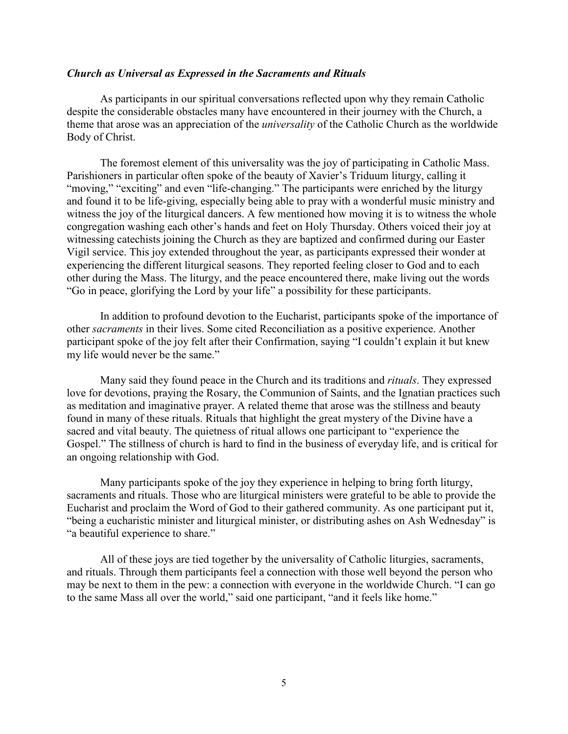# *Church as Universal as Expressed in the Sacraments and Rituals*

As participants in our spiritual conversations reflected upon why they remain Catholic despite the considerable obstacles many have encountered in their journey with the Church, a theme that arose was an appreciation of the *universality* of the Catholic Church as the worldwide Body of Christ.

The foremost element of this universality was the joy of participating in Catholic Mass. Parishioners in particular often spoke of the beauty of Xavier's Triduum liturgy, calling it "moving," "exciting" and even "life-changing." The participants were enriched by the liturgy and found it to be life-giving, especially being able to pray with a wonderful music ministry and witness the joy of the liturgical dancers. A few mentioned how moving it is to witness the whole congregation washing each other's hands and feet on Holy Thursday. Others voiced their joy at witnessing catechists joining the Church as they are baptized and confirmed during our Easter Vigil service. This joy extended throughout the year, as participants expressed their wonder at experiencing the different liturgical seasons. They reported feeling closer to God and to each other during the Mass. The liturgy, and the peace encountered there, make living out the words "Go in peace, glorifying the Lord by your life" a possibility for these participants.

In addition to profound devotion to the Eucharist, participants spoke of the importance of other *sacraments* in their lives. Some cited Reconciliation as a positive experience. Another participant spoke of the joy felt after their Confirmation, saying "I couldn't explain it but knew my life would never be the same."

Many said they found peace in the Church and its traditions and *rituals*. They expressed love for devotions, praying the Rosary, the Communion of Saints, and the Ignatian practices such as meditation and imaginative prayer. A related theme that arose was the stillness and beauty found in many of these rituals. Rituals that highlight the great mystery of the Divine have a sacred and vital beauty. The quietness of ritual allows one participant to "experience the Gospel." The stillness of church is hard to find in the business of everyday life, and is critical for an ongoing relationship with God.

Many participants spoke of the joy they experience in helping to bring forth liturgy, sacraments and rituals. Those who are liturgical ministers were grateful to be able to provide the Eucharist and proclaim the Word of God to their gathered community. As one participant put it, "being a eucharistic minister and liturgical minister, or distributing ashes on Ash Wednesday" is "a beautiful experience to share."

All of these joys are tied together by the universality of Catholic liturgies, sacraments, and rituals. Through them participants feel a connection with those well beyond the person who may be next to them in the pew: a connection with everyone in the worldwide Church. "I can go to the same Mass all over the world," said one participant, "and it feels like home."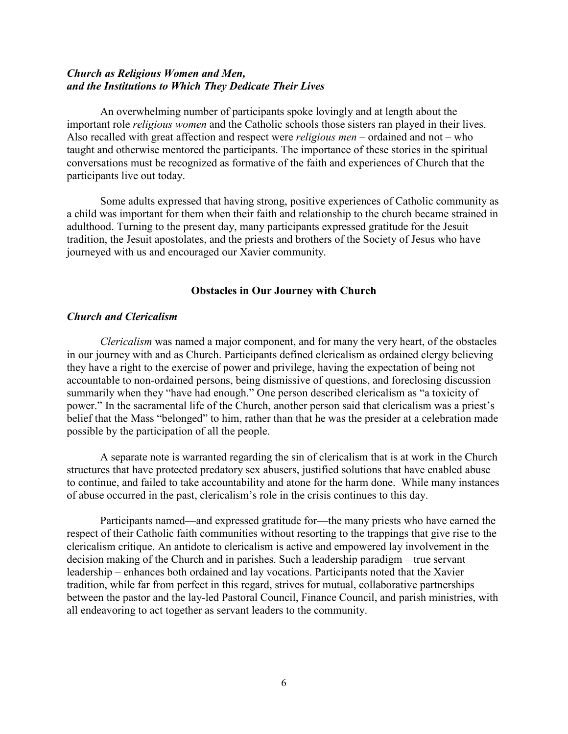# *Church as Religious Women and Men, and the Institutions to Which They Dedicate Their Lives*

An overwhelming number of participants spoke lovingly and at length about the important role *religious women* and the Catholic schools those sisters ran played in their lives. Also recalled with great affection and respect were *religious men* – ordained and not – who taught and otherwise mentored the participants. The importance of these stories in the spiritual conversations must be recognized as formative of the faith and experiences of Church that the participants live out today.

Some adults expressed that having strong, positive experiences of Catholic community as a child was important for them when their faith and relationship to the church became strained in adulthood. Turning to the present day, many participants expressed gratitude for the Jesuit tradition, the Jesuit apostolates, and the priests and brothers of the Society of Jesus who have journeyed with us and encouraged our Xavier community.

## **Obstacles in Our Journey with Church**

## *Church and Clericalism*

*Clericalism* was named a major component, and for many the very heart, of the obstacles in our journey with and as Church. Participants defined clericalism as ordained clergy believing they have a right to the exercise of power and privilege, having the expectation of being not accountable to non-ordained persons, being dismissive of questions, and foreclosing discussion summarily when they "have had enough." One person described clericalism as "a toxicity of power." In the sacramental life of the Church, another person said that clericalism was a priest's belief that the Mass "belonged" to him, rather than that he was the presider at a celebration made possible by the participation of all the people.

A separate note is warranted regarding the sin of clericalism that is at work in the Church structures that have protected predatory sex abusers, justified solutions that have enabled abuse to continue, and failed to take accountability and atone for the harm done. While many instances of abuse occurred in the past, clericalism's role in the crisis continues to this day.

Participants named—and expressed gratitude for—the many priests who have earned the respect of their Catholic faith communities without resorting to the trappings that give rise to the clericalism critique. An antidote to clericalism is active and empowered lay involvement in the decision making of the Church and in parishes. Such a leadership paradigm – true servant leadership – enhances both ordained and lay vocations. Participants noted that the Xavier tradition, while far from perfect in this regard, strives for mutual, collaborative partnerships between the pastor and the lay-led Pastoral Council, Finance Council, and parish ministries, with all endeavoring to act together as servant leaders to the community.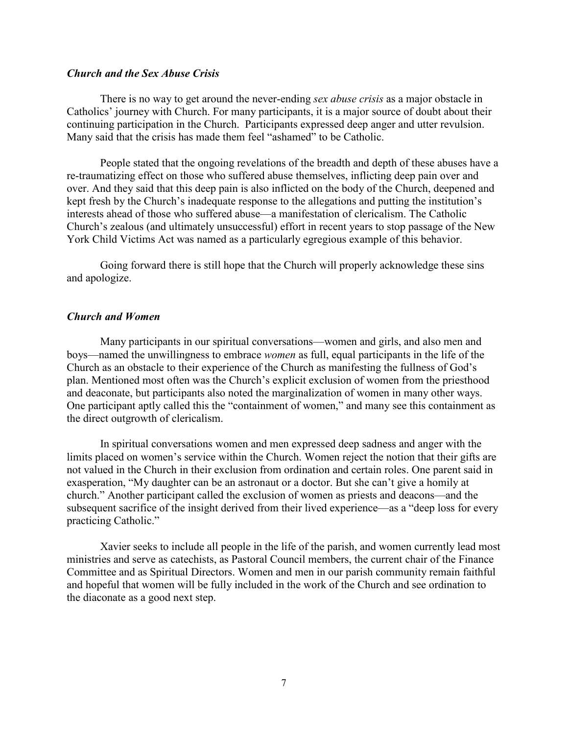## *Church and the Sex Abuse Crisis*

There is no way to get around the never-ending *sex abuse crisis* as a major obstacle in Catholics' journey with Church. For many participants, it is a major source of doubt about their continuing participation in the Church. Participants expressed deep anger and utter revulsion. Many said that the crisis has made them feel "ashamed" to be Catholic.

People stated that the ongoing revelations of the breadth and depth of these abuses have a re-traumatizing effect on those who suffered abuse themselves, inflicting deep pain over and over. And they said that this deep pain is also inflicted on the body of the Church, deepened and kept fresh by the Church's inadequate response to the allegations and putting the institution's interests ahead of those who suffered abuse—a manifestation of clericalism. The Catholic Church's zealous (and ultimately unsuccessful) effort in recent years to stop passage of the New York Child Victims Act was named as a particularly egregious example of this behavior.

Going forward there is still hope that the Church will properly acknowledge these sins and apologize.

### *Church and Women*

Many participants in our spiritual conversations—women and girls, and also men and boys—named the unwillingness to embrace *women* as full, equal participants in the life of the Church as an obstacle to their experience of the Church as manifesting the fullness of God's plan. Mentioned most often was the Church's explicit exclusion of women from the priesthood and deaconate, but participants also noted the marginalization of women in many other ways. One participant aptly called this the "containment of women," and many see this containment as the direct outgrowth of clericalism.

In spiritual conversations women and men expressed deep sadness and anger with the limits placed on women's service within the Church. Women reject the notion that their gifts are not valued in the Church in their exclusion from ordination and certain roles. One parent said in exasperation, "My daughter can be an astronaut or a doctor. But she can't give a homily at church." Another participant called the exclusion of women as priests and deacons—and the subsequent sacrifice of the insight derived from their lived experience—as a "deep loss for every practicing Catholic."

Xavier seeks to include all people in the life of the parish, and women currently lead most ministries and serve as catechists, as Pastoral Council members, the current chair of the Finance Committee and as Spiritual Directors. Women and men in our parish community remain faithful and hopeful that women will be fully included in the work of the Church and see ordination to the diaconate as a good next step.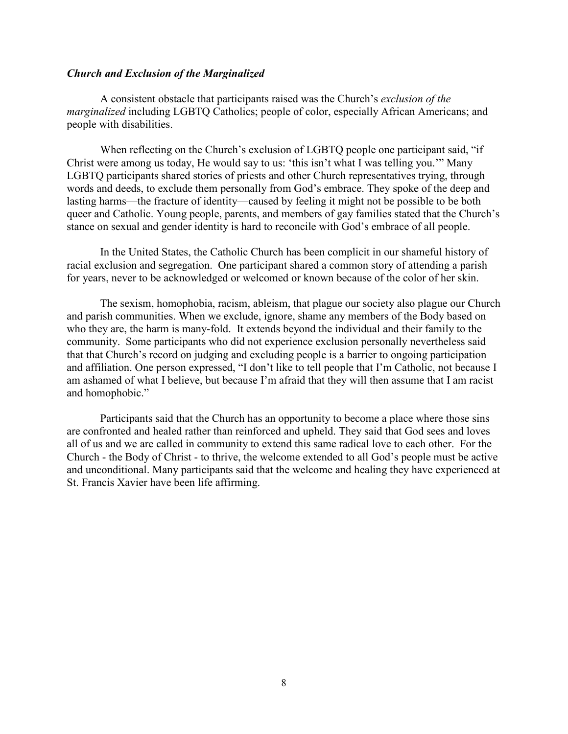#### *Church and Exclusion of the Marginalized*

A consistent obstacle that participants raised was the Church's *exclusion of the marginalized* including LGBTQ Catholics; people of color, especially African Americans; and people with disabilities.

When reflecting on the Church's exclusion of LGBTQ people one participant said, "if Christ were among us today, He would say to us: 'this isn't what I was telling you.'" Many LGBTQ participants shared stories of priests and other Church representatives trying, through words and deeds, to exclude them personally from God's embrace. They spoke of the deep and lasting harms—the fracture of identity—caused by feeling it might not be possible to be both queer and Catholic. Young people, parents, and members of gay families stated that the Church's stance on sexual and gender identity is hard to reconcile with God's embrace of all people.

In the United States, the Catholic Church has been complicit in our shameful history of racial exclusion and segregation. One participant shared a common story of attending a parish for years, never to be acknowledged or welcomed or known because of the color of her skin.

The sexism, homophobia, racism, ableism, that plague our society also plague our Church and parish communities. When we exclude, ignore, shame any members of the Body based on who they are, the harm is many-fold. It extends beyond the individual and their family to the community. Some participants who did not experience exclusion personally nevertheless said that that Church's record on judging and excluding people is a barrier to ongoing participation and affiliation. One person expressed, "I don't like to tell people that I'm Catholic, not because I am ashamed of what I believe, but because I'm afraid that they will then assume that I am racist and homophobic."

Participants said that the Church has an opportunity to become a place where those sins are confronted and healed rather than reinforced and upheld. They said that God sees and loves all of us and we are called in community to extend this same radical love to each other. For the Church - the Body of Christ - to thrive, the welcome extended to all God's people must be active and unconditional. Many participants said that the welcome and healing they have experienced at St. Francis Xavier have been life affirming.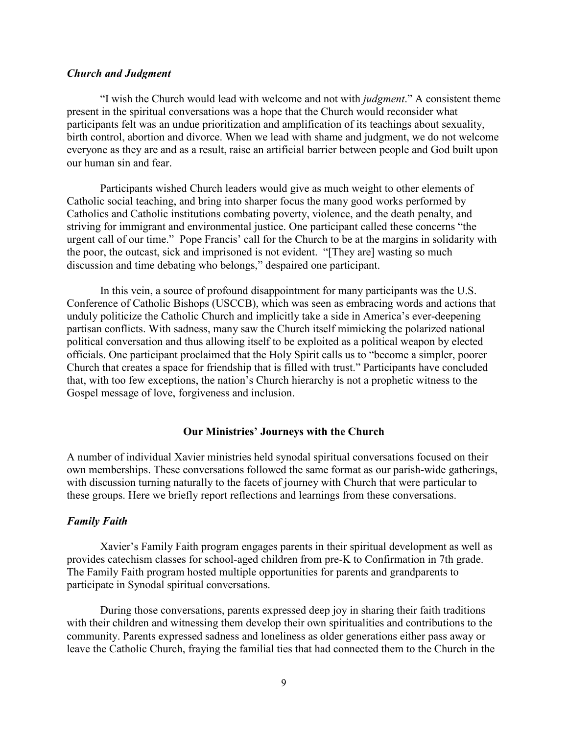## *Church and Judgment*

"I wish the Church would lead with welcome and not with *judgment*." A consistent theme present in the spiritual conversations was a hope that the Church would reconsider what participants felt was an undue prioritization and amplification of its teachings about sexuality, birth control, abortion and divorce. When we lead with shame and judgment, we do not welcome everyone as they are and as a result, raise an artificial barrier between people and God built upon our human sin and fear.

Participants wished Church leaders would give as much weight to other elements of Catholic social teaching, and bring into sharper focus the many good works performed by Catholics and Catholic institutions combating poverty, violence, and the death penalty, and striving for immigrant and environmental justice. One participant called these concerns "the urgent call of our time." Pope Francis' call for the Church to be at the margins in solidarity with the poor, the outcast, sick and imprisoned is not evident. "[They are] wasting so much discussion and time debating who belongs," despaired one participant.

In this vein, a source of profound disappointment for many participants was the U.S. Conference of Catholic Bishops (USCCB), which was seen as embracing words and actions that unduly politicize the Catholic Church and implicitly take a side in America's ever-deepening partisan conflicts. With sadness, many saw the Church itself mimicking the polarized national political conversation and thus allowing itself to be exploited as a political weapon by elected officials. One participant proclaimed that the Holy Spirit calls us to "become a simpler, poorer Church that creates a space for friendship that is filled with trust." Participants have concluded that, with too few exceptions, the nation's Church hierarchy is not a prophetic witness to the Gospel message of love, forgiveness and inclusion.

#### **Our Ministries' Journeys with the Church**

A number of individual Xavier ministries held synodal spiritual conversations focused on their own memberships. These conversations followed the same format as our parish-wide gatherings, with discussion turning naturally to the facets of journey with Church that were particular to these groups. Here we briefly report reflections and learnings from these conversations.

#### *Family Faith*

Xavier's Family Faith program engages parents in their spiritual development as well as provides catechism classes for school-aged children from pre-K to Confirmation in 7th grade. The Family Faith program hosted multiple opportunities for parents and grandparents to participate in Synodal spiritual conversations.

During those conversations, parents expressed deep joy in sharing their faith traditions with their children and witnessing them develop their own spiritualities and contributions to the community. Parents expressed sadness and loneliness as older generations either pass away or leave the Catholic Church, fraying the familial ties that had connected them to the Church in the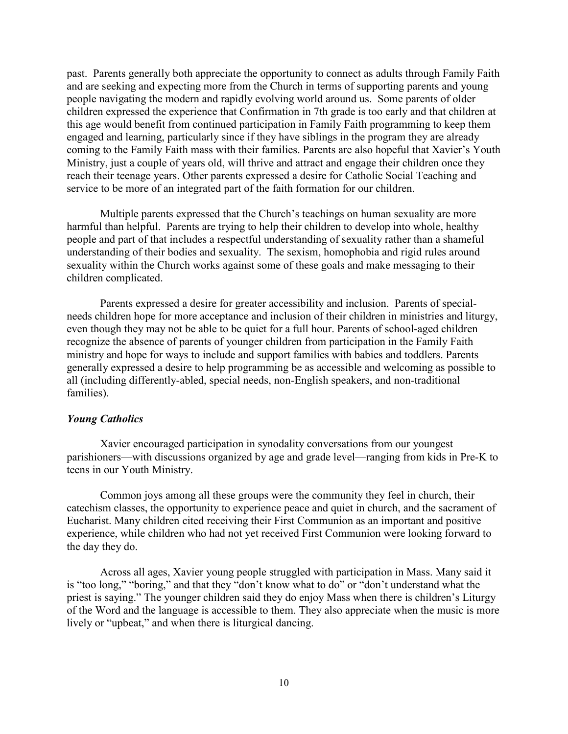past. Parents generally both appreciate the opportunity to connect as adults through Family Faith and are seeking and expecting more from the Church in terms of supporting parents and young people navigating the modern and rapidly evolving world around us. Some parents of older children expressed the experience that Confirmation in 7th grade is too early and that children at this age would benefit from continued participation in Family Faith programming to keep them engaged and learning, particularly since if they have siblings in the program they are already coming to the Family Faith mass with their families. Parents are also hopeful that Xavier's Youth Ministry, just a couple of years old, will thrive and attract and engage their children once they reach their teenage years. Other parents expressed a desire for Catholic Social Teaching and service to be more of an integrated part of the faith formation for our children.

Multiple parents expressed that the Church's teachings on human sexuality are more harmful than helpful. Parents are trying to help their children to develop into whole, healthy people and part of that includes a respectful understanding of sexuality rather than a shameful understanding of their bodies and sexuality. The sexism, homophobia and rigid rules around sexuality within the Church works against some of these goals and make messaging to their children complicated.

Parents expressed a desire for greater accessibility and inclusion. Parents of specialneeds children hope for more acceptance and inclusion of their children in ministries and liturgy, even though they may not be able to be quiet for a full hour. Parents of school-aged children recognize the absence of parents of younger children from participation in the Family Faith ministry and hope for ways to include and support families with babies and toddlers. Parents generally expressed a desire to help programming be as accessible and welcoming as possible to all (including differently-abled, special needs, non-English speakers, and non-traditional families).

## *Young Catholics*

Xavier encouraged participation in synodality conversations from our youngest parishioners—with discussions organized by age and grade level—ranging from kids in Pre-K to teens in our Youth Ministry.

Common joys among all these groups were the community they feel in church, their catechism classes, the opportunity to experience peace and quiet in church, and the sacrament of Eucharist. Many children cited receiving their First Communion as an important and positive experience, while children who had not yet received First Communion were looking forward to the day they do.

Across all ages, Xavier young people struggled with participation in Mass. Many said it is "too long," "boring," and that they "don't know what to do" or "don't understand what the priest is saying." The younger children said they do enjoy Mass when there is children's Liturgy of the Word and the language is accessible to them. They also appreciate when the music is more lively or "upbeat," and when there is liturgical dancing.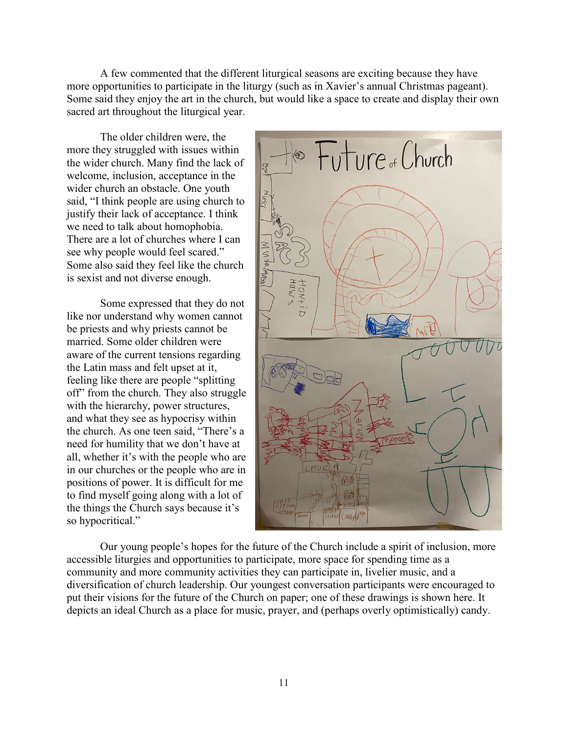A few commented that the different liturgical seasons are exciting because they have more opportunities to participate in the liturgy (such as in Xavier's annual Christmas pageant). Some said they enjoy the art in the church, but would like a space to create and display their own sacred art throughout the liturgical year.

The older children were, the more they struggled with issues within the wider church. Many find the lack of welcome, inclusion, acceptance in the wider church an obstacle. One youth said, "I think people are using church to justify their lack of acceptance. I think we need to talk about homophobia. There are a lot of churches where I can see why people would feel scared." Some also said they feel like the church is sexist and not diverse enough.

Some expressed that they do not like nor understand why women cannot be priests and why priests cannot be married. Some older children were aware of the current tensions regarding the Latin mass and felt upset at it, feeling like there are people "splitting off" from the church. They also struggle with the hierarchy, power structures, and what they see as hypocrisy within the church. As one teen said, "There's a need for humility that we don't have at all, whether it's with the people who are in our churches or the people who are in positions of power. It is difficult for me to find myself going along with a lot of the things the Church says because it's so hypocritical."



Our young people's hopes for the future of the Church include a spirit of inclusion, more accessible liturgies and opportunities to participate, more space for spending time as a community and more community activities they can participate in, livelier music, and a diversification of church leadership. Our youngest conversation participants were encouraged to put their visions for the future of the Church on paper; one of these drawings is shown here. It depicts an ideal Church as a place for music, prayer, and (perhaps overly optimistically) candy.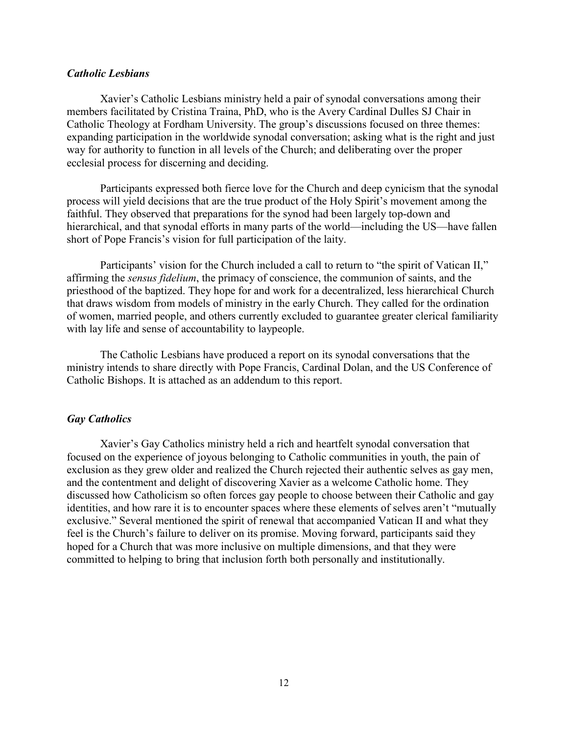## *Catholic Lesbians*

Xavier's Catholic Lesbians ministry held a pair of synodal conversations among their members facilitated by Cristina Traina, PhD, who is the Avery Cardinal Dulles SJ Chair in Catholic Theology at Fordham University. The group's discussions focused on three themes: expanding participation in the worldwide synodal conversation; asking what is the right and just way for authority to function in all levels of the Church; and deliberating over the proper ecclesial process for discerning and deciding.

Participants expressed both fierce love for the Church and deep cynicism that the synodal process will yield decisions that are the true product of the Holy Spirit's movement among the faithful. They observed that preparations for the synod had been largely top-down and hierarchical, and that synodal efforts in many parts of the world—including the US—have fallen short of Pope Francis's vision for full participation of the laity.

Participants' vision for the Church included a call to return to "the spirit of Vatican II," affirming the *sensus fidelium*, the primacy of conscience, the communion of saints, and the priesthood of the baptized. They hope for and work for a decentralized, less hierarchical Church that draws wisdom from models of ministry in the early Church. They called for the ordination of women, married people, and others currently excluded to guarantee greater clerical familiarity with lay life and sense of accountability to laypeople.

The Catholic Lesbians have produced a report on its synodal conversations that the ministry intends to share directly with Pope Francis, Cardinal Dolan, and the US Conference of Catholic Bishops. It is attached as an addendum to this report.

# *Gay Catholics*

Xavier's Gay Catholics ministry held a rich and heartfelt synodal conversation that focused on the experience of joyous belonging to Catholic communities in youth, the pain of exclusion as they grew older and realized the Church rejected their authentic selves as gay men, and the contentment and delight of discovering Xavier as a welcome Catholic home. They discussed how Catholicism so often forces gay people to choose between their Catholic and gay identities, and how rare it is to encounter spaces where these elements of selves aren't "mutually exclusive." Several mentioned the spirit of renewal that accompanied Vatican II and what they feel is the Church's failure to deliver on its promise. Moving forward, participants said they hoped for a Church that was more inclusive on multiple dimensions, and that they were committed to helping to bring that inclusion forth both personally and institutionally.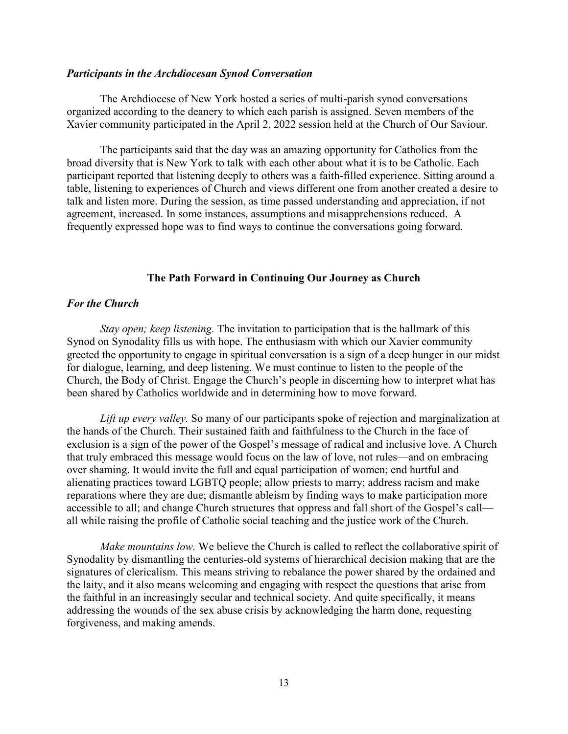#### *Participants in the Archdiocesan Synod Conversation*

The Archdiocese of New York hosted a series of multi-parish synod conversations organized according to the deanery to which each parish is assigned. Seven members of the Xavier community participated in the April 2, 2022 session held at the Church of Our Saviour.

The participants said that the day was an amazing opportunity for Catholics from the broad diversity that is New York to talk with each other about what it is to be Catholic. Each participant reported that listening deeply to others was a faith-filled experience. Sitting around a table, listening to experiences of Church and views different one from another created a desire to talk and listen more. During the session, as time passed understanding and appreciation, if not agreement, increased. In some instances, assumptions and misapprehensions reduced. A frequently expressed hope was to find ways to continue the conversations going forward.

## **The Path Forward in Continuing Our Journey as Church**

### *For the Church*

*Stay open; keep listening.* The invitation to participation that is the hallmark of this Synod on Synodality fills us with hope. The enthusiasm with which our Xavier community greeted the opportunity to engage in spiritual conversation is a sign of a deep hunger in our midst for dialogue, learning, and deep listening. We must continue to listen to the people of the Church, the Body of Christ. Engage the Church's people in discerning how to interpret what has been shared by Catholics worldwide and in determining how to move forward.

*Lift up every valley.* So many of our participants spoke of rejection and marginalization at the hands of the Church. Their sustained faith and faithfulness to the Church in the face of exclusion is a sign of the power of the Gospel's message of radical and inclusive love. A Church that truly embraced this message would focus on the law of love, not rules—and on embracing over shaming. It would invite the full and equal participation of women; end hurtful and alienating practices toward LGBTQ people; allow priests to marry; address racism and make reparations where they are due; dismantle ableism by finding ways to make participation more accessible to all; and change Church structures that oppress and fall short of the Gospel's call all while raising the profile of Catholic social teaching and the justice work of the Church.

*Make mountains low.* We believe the Church is called to reflect the collaborative spirit of Synodality by dismantling the centuries-old systems of hierarchical decision making that are the signatures of clericalism. This means striving to rebalance the power shared by the ordained and the laity, and it also means welcoming and engaging with respect the questions that arise from the faithful in an increasingly secular and technical society. And quite specifically, it means addressing the wounds of the sex abuse crisis by acknowledging the harm done, requesting forgiveness, and making amends.